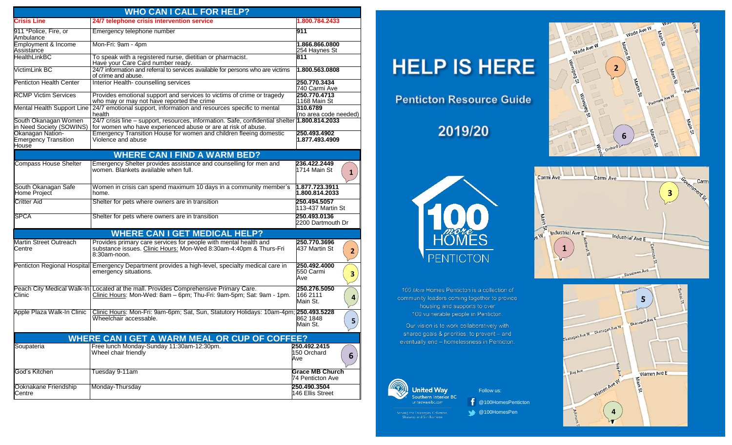| <b>WHO CAN I CALL FOR HELP?</b>                          |                                                                                                                                                                |                                                                 |  |  |  |  |  |
|----------------------------------------------------------|----------------------------------------------------------------------------------------------------------------------------------------------------------------|-----------------------------------------------------------------|--|--|--|--|--|
| <b>Crisis Line</b>                                       | 24/7 telephone crisis intervention service                                                                                                                     | 1.800.784.2433                                                  |  |  |  |  |  |
| 911 *Police, Fire, or<br>Ambulance                       | Emergency telephone number                                                                                                                                     | 911                                                             |  |  |  |  |  |
| Employment & Income<br>Assistance                        | Mon-Fri: 9am - 4pm                                                                                                                                             | 1.866.866.0800<br>254 Haynes St                                 |  |  |  |  |  |
| <b>HealthLinkBC</b>                                      | To speak with a registered nurse, dietitian or pharmacist.<br>Have your Care Card number ready.                                                                | 811                                                             |  |  |  |  |  |
| VictimLink BC                                            | 24/7 information and referral to services available for persons who are victims<br>of crime and abuse.                                                         | 1.800.563.0808                                                  |  |  |  |  |  |
| <b>Penticton Health Center</b>                           | Interior Health- counselling services                                                                                                                          | 250.770.3434<br>740 Carmi Ave                                   |  |  |  |  |  |
| <b>RCMP Victim Services</b>                              | Provides emotional support and services to victims of crime or tragedy<br>who may or may not have reported the crime                                           | 250.770.4713<br>1168 Main St                                    |  |  |  |  |  |
| Mental Health Support Line                               | 24/7 emotional support, information and resources specific to mental<br>health                                                                                 | 310.6789<br>(no area code needed)                               |  |  |  |  |  |
| South Okanagan Women<br>in Need Society (SOWINS)         | 24/7 crisis line - support, resources, information. Safe, confidential shelter 1.800.814.2033<br>for women who have experienced abuse or are at risk of abuse. |                                                                 |  |  |  |  |  |
| Okanagan Nation-<br><b>Emergency Transition</b><br>House | Emergency Transition House for women and children fleeing domestic<br>Violence and abuse                                                                       | 250.493.4902<br>1.877.493.4909                                  |  |  |  |  |  |
|                                                          | <b>WHERE CAN I FIND A WARM BED?</b>                                                                                                                            |                                                                 |  |  |  |  |  |
| Compass House Shelter                                    | Emergency Shelter provides assistance and counselling for men and<br>women. Blankets available when full.                                                      | 236.422.2449<br>1714 Main St<br>$\mathbf{1}$                    |  |  |  |  |  |
| South Okanagan Safe<br>Home Project                      | Women in crisis can spend maximum 10 days in a community member's<br>home.                                                                                     | 1.877.723.3911<br>1.800.814.2033                                |  |  |  |  |  |
| <b>Critter Aid</b>                                       | Shelter for pets where owners are in transition                                                                                                                | 250.494.5057<br>113-437 Martin St                               |  |  |  |  |  |
| <b>SPCA</b>                                              | Shelter for pets where owners are in transition                                                                                                                | 250.493.0136<br>2200 Dartmouth Dr                               |  |  |  |  |  |
| <b>WHERE CAN I GET MEDICAL HELP?</b>                     |                                                                                                                                                                |                                                                 |  |  |  |  |  |
| Martin Street Outreach<br>Centre                         | Provides primary care services for people with mental health and<br>substance issues. Clinic Hours: Mon-Wed 8:30am-4:40pm & Thurs-Fri<br>8:30am-noon.          | 250.770.3696<br>437 Martin St<br>2 <sup>2</sup>                 |  |  |  |  |  |
| Penticton Regional Hospital                              | Emergency Department provides a high-level, specialty medical care in<br>emergency situations.                                                                 | 250.492.4000<br>550 Carmi<br>$\overline{\mathbf{3}}$<br>Ave     |  |  |  |  |  |
| Clinic                                                   | Peach City Medical Walk-In Located at the mall. Provides Comprehensive Primary Care.<br>Clinic Hours: Mon-Wed: 8am - 6pm; Thu-Fri: 9am-5pm; Sat: 9am - 1pm.    | 250.276.5050<br>166 2111<br>$\overline{\mathbf{4}}$<br>Main St. |  |  |  |  |  |
| Apple Plaza Walk-In Clinic                               | Clinic Hours: Mon-Fri: 9am-6pm; Sat, Sun, Statutory Holidays: 10am-4pm; 250.493.5228<br>Wheelchair accessable.                                                 | 862 1848<br>5 <sub>1</sub><br>Main St.                          |  |  |  |  |  |
| <b>WHERE CAN I GET A WARM MEAL OR CUP OF COFFEE?</b>     |                                                                                                                                                                |                                                                 |  |  |  |  |  |
| Soupateria                                               | Free lunch Monday-Sunday 11:30am-12:30pm.<br>Wheel chair friendly                                                                                              | 250.492.2415<br>150 Orchard<br>6<br>Ave                         |  |  |  |  |  |
| God's Kitchen                                            | Tuesday 9-11am                                                                                                                                                 | <b>Grace MB Church</b><br>74 Penticton Ave                      |  |  |  |  |  |
| Ooknakane Friendship<br>Centre                           | Monday-Thursday                                                                                                                                                | 250.490.3504<br>146 Ellis Street                                |  |  |  |  |  |

## **HELP IS HERE**

**Penticton Resource Guide** 

2019/20

100

HOMES

**PENTICTON** 

100 More Homes Penticton is a collection of community leaders coming together to provide

> housing and supports to over 100 vulnerable people in Penticton.

Our vision is to work collaboratively with shared goals & priorities, to prevent - and eventually end - homelessness in Penticton.

Follow us:

4 @100HomesPen

@100HomesPenticton



Wade Ave W

S<sup>SI</sup>





rving the Okanagan, Columbia

**United Way**<br>Southern Interior BC

nitedwaysibc.com

 $\mathbb{Q}$